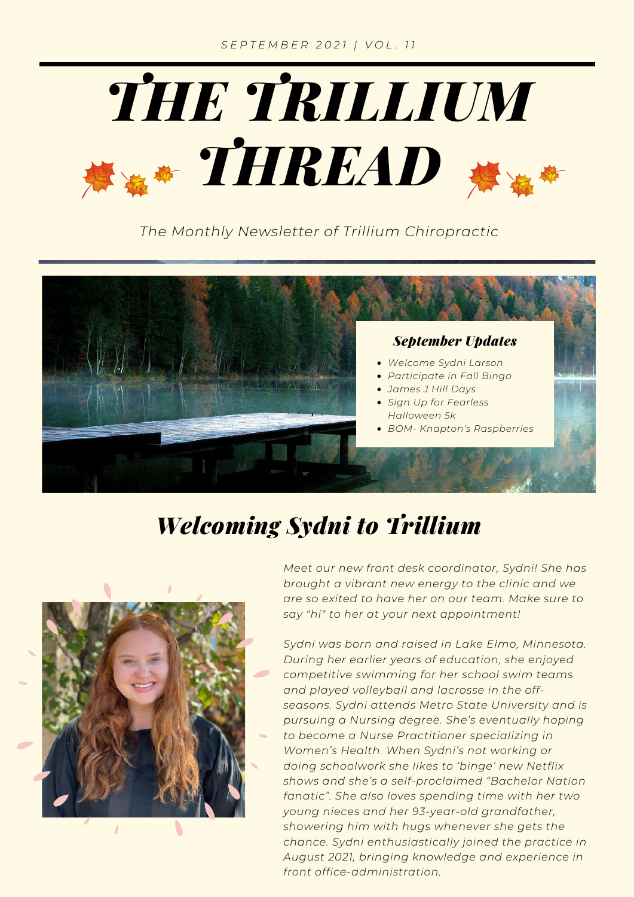

*The Monthly Newsletter of Trillium Chiropractic*



# *Welcoming Sydni to Trillium*



*Meet our new front desk coordinator, Sydni! She has brought a vibrant new energy to the clinic and we are so exited to have her on our team. Make sure to say "hi" to her at your next appointment!*

*Sydni was born and raised in Lake Elmo, Minnesota. During her earlier years of education, she enjoyed competitive swimming for her school swim teams and played volleyball and lacrosse in the offseasons. Sydni attends Metro State University and is pursuing a Nursing degree. She's eventually hoping to become a Nurse Practitioner specializing in Women's Health. When Sydni's not working or doing schoolwork she likes to 'binge' new Netflix shows and she's a self-proclaimed "Bachelor Nation fanatic". She also loves spending time with her two young nieces and her 93-year-old grandfather, showering him with hugs whenever she gets the chance. Sydni enthusiastically joined the practice in August 2021, bringing knowledge and experience in front office-administration.*